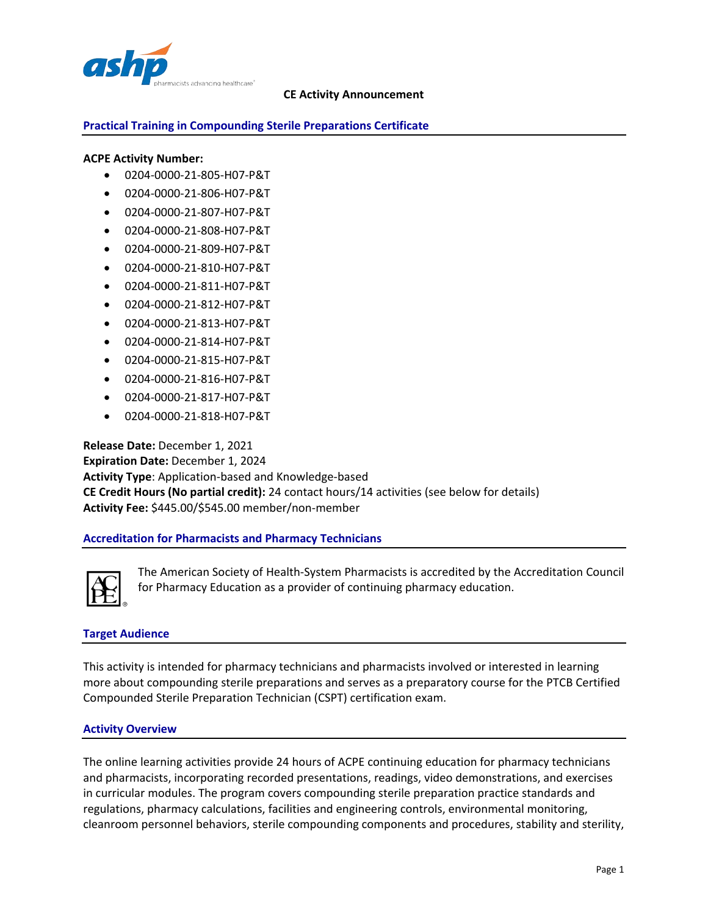

## **Practical Training in Compounding Sterile Preparations Certificate**

#### **ACPE Activity Number:**

- 0204-0000-21-805-H07-P&T
- 0204-0000-21-806-H07-P&T
- 0204-0000-21-807-H07-P&T
- 0204-0000-21-808-H07-P&T
- 0204-0000-21-809-H07-P&T
- 0204-0000-21-810-H07-P&T
- 0204-0000-21-811-H07-P&T
- 0204-0000-21-812-H07-P&T
- 0204-0000-21-813-H07-P&T
- 0204-0000-21-814-H07-P&T
- 0204-0000-21-815-H07-P&T
- 0204-0000-21-816-H07-P&T
- 0204-0000-21-817-H07-P&T
- 0204-0000-21-818-H07-P&T

**Release Date:** December 1, 2021 **Expiration Date:** December 1, 2024 **Activity Type**: Application-based and Knowledge-based **CE Credit Hours (No partial credit):** 24 contact hours/14 activities (see below for details) **Activity Fee:** \$445.00/\$545.00 member/non-member

#### **Accreditation for Pharmacists and Pharmacy Technicians**



The American Society of Health-System Pharmacists is accredited by the Accreditation Council for Pharmacy Education as a provider of continuing pharmacy education.

#### **Target Audience**

This activity is intended for pharmacy technicians and pharmacists involved or interested in learning more about compounding sterile preparations and serves as a preparatory course for the PTCB Certified Compounded Sterile Preparation Technician (CSPT) certification exam.

#### **Activity Overview**

The online learning activities provide 24 hours of ACPE continuing education for pharmacy technicians and pharmacists, incorporating recorded presentations, readings, video demonstrations, and exercises in curricular modules. The program covers compounding sterile preparation practice standards and regulations, pharmacy calculations, facilities and engineering controls, environmental monitoring, cleanroom personnel behaviors, sterile compounding components and procedures, stability and sterility,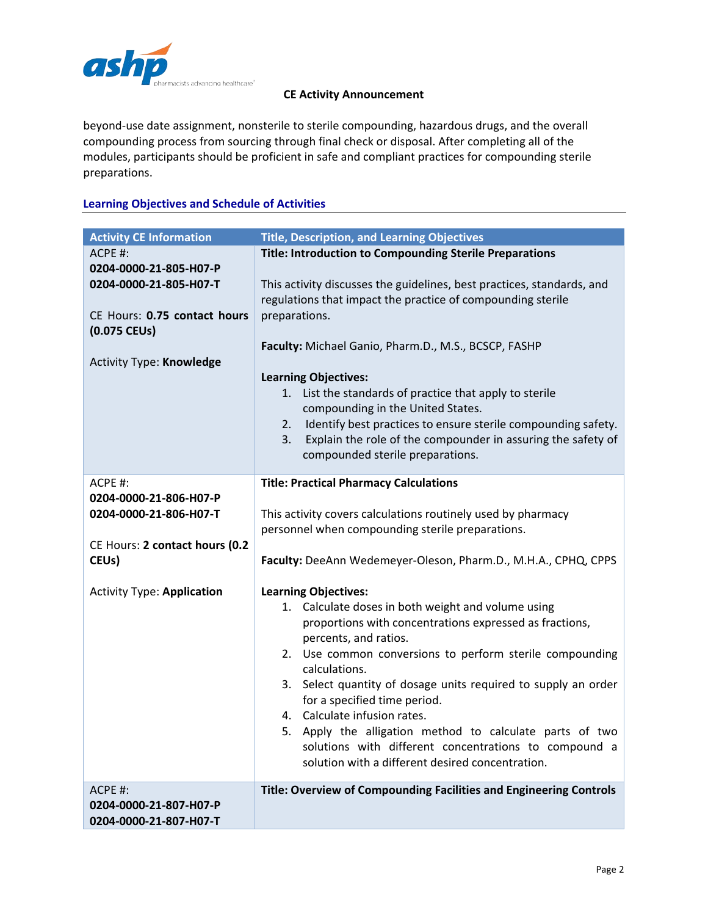

beyond-use date assignment, nonsterile to sterile compounding, hazardous drugs, and the overall compounding process from sourcing through final check or disposal. After completing all of the modules, participants should be proficient in safe and compliant practices for compounding sterile preparations.

# **Learning Objectives and Schedule of Activities**

| <b>Activity CE Information</b>                                                                                                      | <b>Title, Description, and Learning Objectives</b>                                                                                                                                                                                                                                                                                                                                                                                                                                                                             |
|-------------------------------------------------------------------------------------------------------------------------------------|--------------------------------------------------------------------------------------------------------------------------------------------------------------------------------------------------------------------------------------------------------------------------------------------------------------------------------------------------------------------------------------------------------------------------------------------------------------------------------------------------------------------------------|
| ACPE #:                                                                                                                             | <b>Title: Introduction to Compounding Sterile Preparations</b>                                                                                                                                                                                                                                                                                                                                                                                                                                                                 |
| 0204-0000-21-805-H07-P<br>0204-0000-21-805-H07-T<br>CE Hours: 0.75 contact hours<br>(0.075 CEUs)<br><b>Activity Type: Knowledge</b> | This activity discusses the guidelines, best practices, standards, and<br>regulations that impact the practice of compounding sterile<br>preparations.<br>Faculty: Michael Ganio, Pharm.D., M.S., BCSCP, FASHP<br><b>Learning Objectives:</b><br>1. List the standards of practice that apply to sterile<br>compounding in the United States.<br>Identify best practices to ensure sterile compounding safety.<br>2.<br>Explain the role of the compounder in assuring the safety of<br>3.<br>compounded sterile preparations. |
| $ACPE$ #:                                                                                                                           |                                                                                                                                                                                                                                                                                                                                                                                                                                                                                                                                |
|                                                                                                                                     | <b>Title: Practical Pharmacy Calculations</b>                                                                                                                                                                                                                                                                                                                                                                                                                                                                                  |
| 0204-0000-21-806-H07-P                                                                                                              |                                                                                                                                                                                                                                                                                                                                                                                                                                                                                                                                |
| 0204-0000-21-806-H07-T                                                                                                              | This activity covers calculations routinely used by pharmacy                                                                                                                                                                                                                                                                                                                                                                                                                                                                   |
|                                                                                                                                     | personnel when compounding sterile preparations.                                                                                                                                                                                                                                                                                                                                                                                                                                                                               |
| CE Hours: 2 contact hours (0.2                                                                                                      |                                                                                                                                                                                                                                                                                                                                                                                                                                                                                                                                |
| CEU <sub>s</sub> )                                                                                                                  | Faculty: DeeAnn Wedemeyer-Oleson, Pharm.D., M.H.A., CPHQ, CPPS                                                                                                                                                                                                                                                                                                                                                                                                                                                                 |
|                                                                                                                                     |                                                                                                                                                                                                                                                                                                                                                                                                                                                                                                                                |
| <b>Activity Type: Application</b>                                                                                                   | <b>Learning Objectives:</b>                                                                                                                                                                                                                                                                                                                                                                                                                                                                                                    |
|                                                                                                                                     | 1. Calculate doses in both weight and volume using                                                                                                                                                                                                                                                                                                                                                                                                                                                                             |
|                                                                                                                                     | proportions with concentrations expressed as fractions,                                                                                                                                                                                                                                                                                                                                                                                                                                                                        |
|                                                                                                                                     | percents, and ratios.                                                                                                                                                                                                                                                                                                                                                                                                                                                                                                          |
|                                                                                                                                     | 2. Use common conversions to perform sterile compounding<br>calculations.                                                                                                                                                                                                                                                                                                                                                                                                                                                      |
|                                                                                                                                     | 3. Select quantity of dosage units required to supply an order                                                                                                                                                                                                                                                                                                                                                                                                                                                                 |
|                                                                                                                                     |                                                                                                                                                                                                                                                                                                                                                                                                                                                                                                                                |
|                                                                                                                                     | for a specified time period.<br>4. Calculate infusion rates.                                                                                                                                                                                                                                                                                                                                                                                                                                                                   |
|                                                                                                                                     |                                                                                                                                                                                                                                                                                                                                                                                                                                                                                                                                |
|                                                                                                                                     | 5. Apply the alligation method to calculate parts of two                                                                                                                                                                                                                                                                                                                                                                                                                                                                       |
|                                                                                                                                     | solutions with different concentrations to compound a                                                                                                                                                                                                                                                                                                                                                                                                                                                                          |
|                                                                                                                                     | solution with a different desired concentration.                                                                                                                                                                                                                                                                                                                                                                                                                                                                               |
| ACPE #:                                                                                                                             | Title: Overview of Compounding Facilities and Engineering Controls                                                                                                                                                                                                                                                                                                                                                                                                                                                             |
| 0204-0000-21-807-H07-P                                                                                                              |                                                                                                                                                                                                                                                                                                                                                                                                                                                                                                                                |
| 0204-0000-21-807-H07-T                                                                                                              |                                                                                                                                                                                                                                                                                                                                                                                                                                                                                                                                |
|                                                                                                                                     |                                                                                                                                                                                                                                                                                                                                                                                                                                                                                                                                |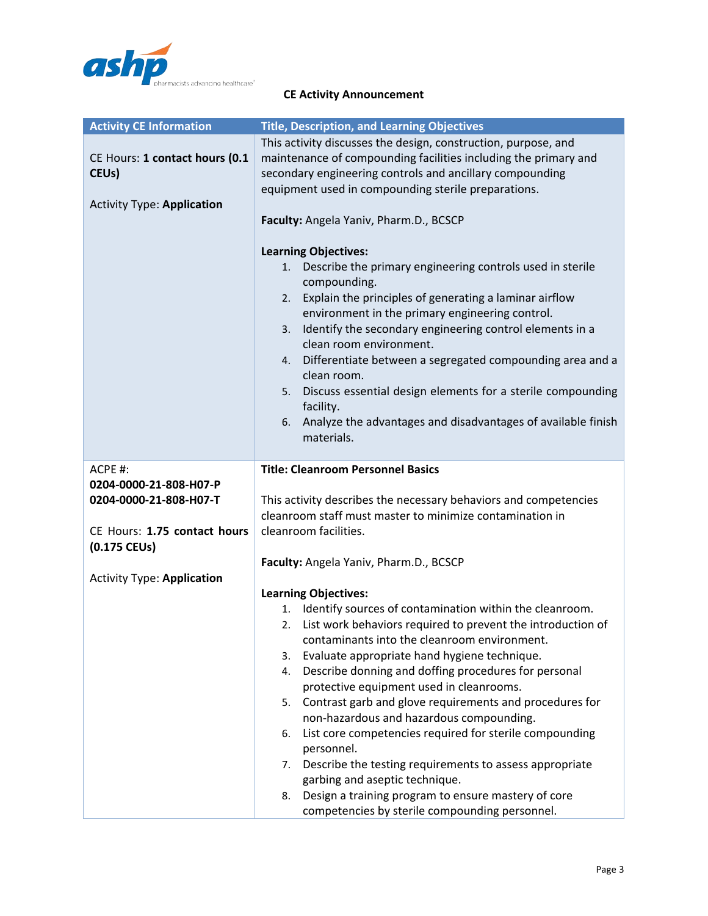

| <b>Activity CE Information</b>    | <b>Title, Description, and Learning Objectives</b>                               |
|-----------------------------------|----------------------------------------------------------------------------------|
|                                   | This activity discusses the design, construction, purpose, and                   |
| CE Hours: 1 contact hours (0.1    | maintenance of compounding facilities including the primary and                  |
| CEU <sub>s</sub> )                | secondary engineering controls and ancillary compounding                         |
|                                   | equipment used in compounding sterile preparations.                              |
| <b>Activity Type: Application</b> |                                                                                  |
|                                   | Faculty: Angela Yaniv, Pharm.D., BCSCP                                           |
|                                   |                                                                                  |
|                                   | <b>Learning Objectives:</b>                                                      |
|                                   | Describe the primary engineering controls used in sterile<br>1.<br>compounding.  |
|                                   | Explain the principles of generating a laminar airflow<br>2.                     |
|                                   | environment in the primary engineering control.                                  |
|                                   | Identify the secondary engineering control elements in a<br>3.                   |
|                                   | clean room environment.                                                          |
|                                   | Differentiate between a segregated compounding area and a<br>4.                  |
|                                   | clean room.                                                                      |
|                                   | Discuss essential design elements for a sterile compounding<br>5.                |
|                                   | facility.                                                                        |
|                                   | Analyze the advantages and disadvantages of available finish<br>6.<br>materials. |
|                                   |                                                                                  |
| ACPE #:                           | <b>Title: Cleanroom Personnel Basics</b>                                         |
| 0204-0000-21-808-H07-P            |                                                                                  |
| 0204-0000-21-808-H07-T            | This activity describes the necessary behaviors and competencies                 |
|                                   | cleanroom staff must master to minimize contamination in                         |
| CE Hours: 1.75 contact hours      | cleanroom facilities.                                                            |
| $(0.175$ CEUs)                    |                                                                                  |
|                                   | Faculty: Angela Yaniv, Pharm.D., BCSCP                                           |
| <b>Activity Type: Application</b> |                                                                                  |
|                                   | <b>Learning Objectives:</b>                                                      |
|                                   | Identify sources of contamination within the cleanroom.<br>1.                    |
|                                   | List work behaviors required to prevent the introduction of<br>2.                |
|                                   | contaminants into the cleanroom environment.                                     |
|                                   | Evaluate appropriate hand hygiene technique.<br>3.                               |
|                                   | Describe donning and doffing procedures for personal<br>4.                       |
|                                   | protective equipment used in cleanrooms.                                         |
|                                   | Contrast garb and glove requirements and procedures for<br>5.                    |
|                                   | non-hazardous and hazardous compounding.                                         |
|                                   | List core competencies required for sterile compounding<br>6.                    |
|                                   | personnel.<br>Describe the testing requirements to assess appropriate            |
|                                   | 7.<br>garbing and aseptic technique.                                             |
|                                   | Design a training program to ensure mastery of core<br>8.                        |
|                                   | competencies by sterile compounding personnel.                                   |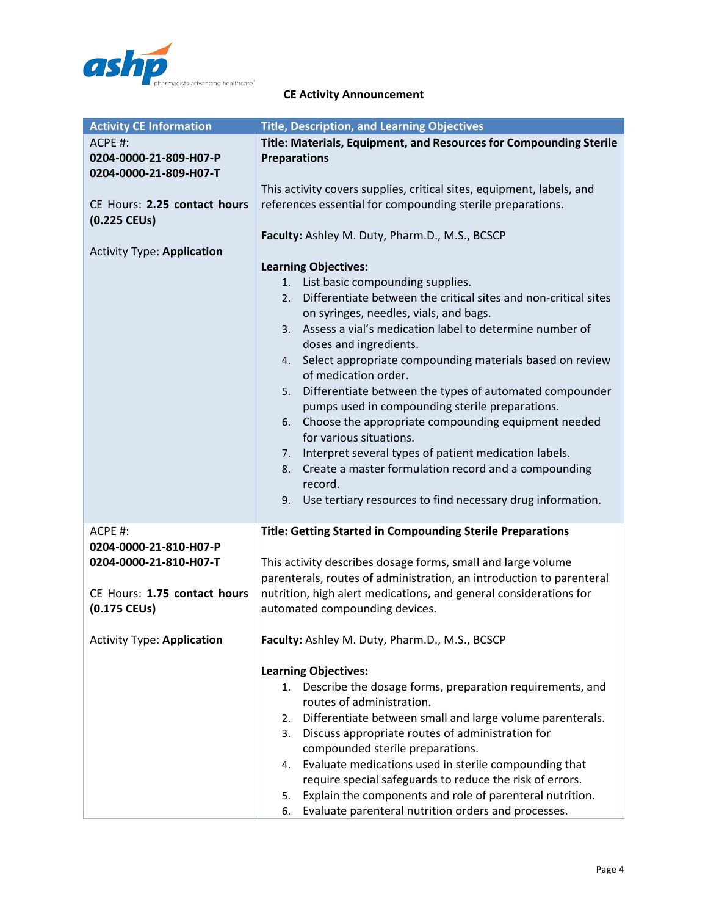

| <b>Activity CE Information</b>                                                                                | <b>Title, Description, and Learning Objectives</b>                                                                                                                                                                                                                                                                                                                                                                                                                                                                                                                                                                                                                                                                                                                                                                                             |
|---------------------------------------------------------------------------------------------------------------|------------------------------------------------------------------------------------------------------------------------------------------------------------------------------------------------------------------------------------------------------------------------------------------------------------------------------------------------------------------------------------------------------------------------------------------------------------------------------------------------------------------------------------------------------------------------------------------------------------------------------------------------------------------------------------------------------------------------------------------------------------------------------------------------------------------------------------------------|
| ACPE #:<br>0204-0000-21-809-H07-P<br>0204-0000-21-809-H07-T                                                   | Title: Materials, Equipment, and Resources for Compounding Sterile<br><b>Preparations</b>                                                                                                                                                                                                                                                                                                                                                                                                                                                                                                                                                                                                                                                                                                                                                      |
| CE Hours: 2.25 contact hours<br>$(0.225$ CEUs)                                                                | This activity covers supplies, critical sites, equipment, labels, and<br>references essential for compounding sterile preparations.                                                                                                                                                                                                                                                                                                                                                                                                                                                                                                                                                                                                                                                                                                            |
| <b>Activity Type: Application</b>                                                                             | Faculty: Ashley M. Duty, Pharm.D., M.S., BCSCP<br><b>Learning Objectives:</b><br>List basic compounding supplies.<br>1.<br>Differentiate between the critical sites and non-critical sites<br>2.<br>on syringes, needles, vials, and bags.<br>3. Assess a vial's medication label to determine number of<br>doses and ingredients.<br>4. Select appropriate compounding materials based on review<br>of medication order.<br>Differentiate between the types of automated compounder<br>5.<br>pumps used in compounding sterile preparations.<br>Choose the appropriate compounding equipment needed<br>6.<br>for various situations.<br>Interpret several types of patient medication labels.<br>7.<br>Create a master formulation record and a compounding<br>8.<br>record.<br>9. Use tertiary resources to find necessary drug information. |
| ACPE #:<br>0204-0000-21-810-H07-P<br>0204-0000-21-810-H07-T<br>CE Hours: 1.75 contact hours<br>$(0.175$ CEUs) | <b>Title: Getting Started in Compounding Sterile Preparations</b><br>This activity describes dosage forms, small and large volume<br>parenterals, routes of administration, an introduction to parenteral<br>nutrition, high alert medications, and general considerations for<br>automated compounding devices.                                                                                                                                                                                                                                                                                                                                                                                                                                                                                                                               |
| <b>Activity Type: Application</b>                                                                             | Faculty: Ashley M. Duty, Pharm.D., M.S., BCSCP                                                                                                                                                                                                                                                                                                                                                                                                                                                                                                                                                                                                                                                                                                                                                                                                 |
|                                                                                                               | <b>Learning Objectives:</b><br>Describe the dosage forms, preparation requirements, and<br>1.<br>routes of administration.<br>Differentiate between small and large volume parenterals.<br>2.<br>Discuss appropriate routes of administration for<br>3.<br>compounded sterile preparations.<br>Evaluate medications used in sterile compounding that<br>4.<br>require special safeguards to reduce the risk of errors.<br>Explain the components and role of parenteral nutrition.<br>5.<br>Evaluate parenteral nutrition orders and processes.<br>6.                                                                                                                                                                                                                                                                                          |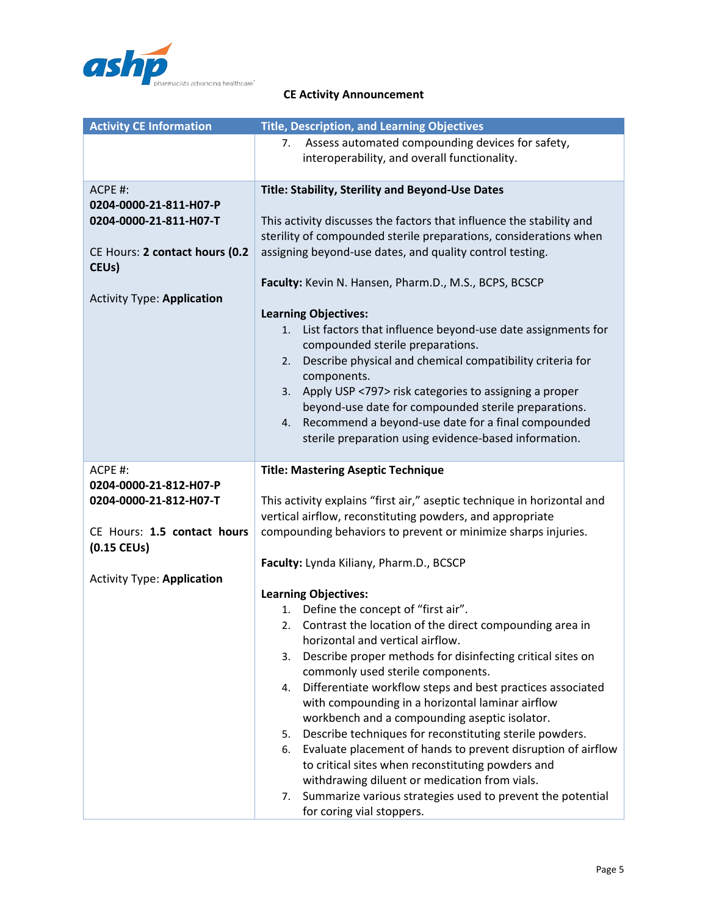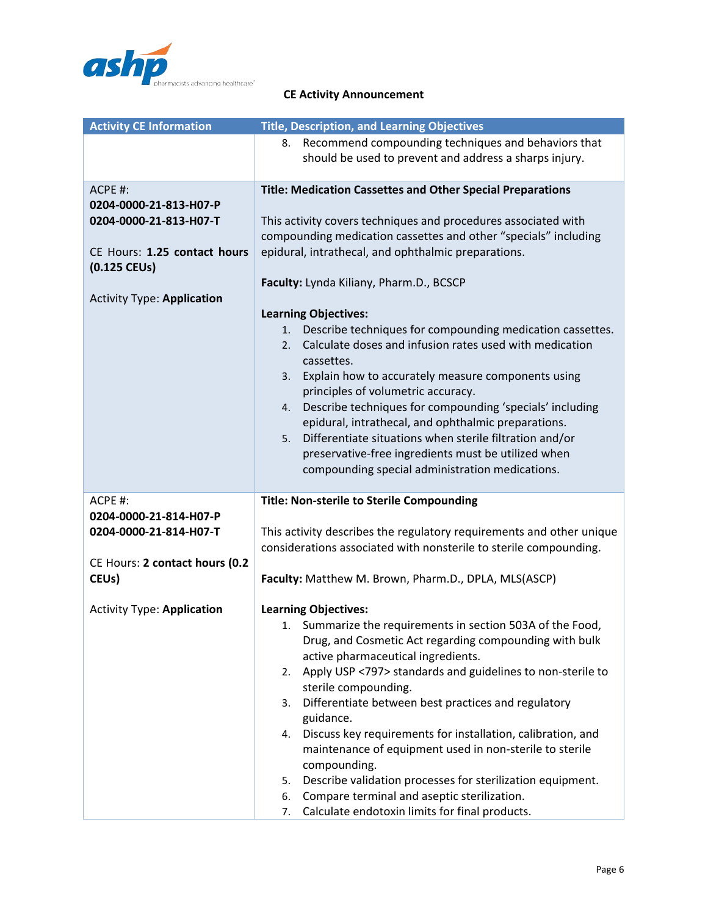

| <b>Activity CE Information</b>    | <b>Title, Description, and Learning Objectives</b>                   |
|-----------------------------------|----------------------------------------------------------------------|
|                                   | 8. Recommend compounding techniques and behaviors that               |
|                                   | should be used to prevent and address a sharps injury.               |
|                                   |                                                                      |
| ACPE #:                           | <b>Title: Medication Cassettes and Other Special Preparations</b>    |
| 0204-0000-21-813-H07-P            |                                                                      |
| 0204-0000-21-813-H07-T            | This activity covers techniques and procedures associated with       |
|                                   | compounding medication cassettes and other "specials" including      |
| CE Hours: 1.25 contact hours      | epidural, intrathecal, and ophthalmic preparations.                  |
| $(0.125$ CEUs)                    |                                                                      |
|                                   | Faculty: Lynda Kiliany, Pharm.D., BCSCP                              |
| <b>Activity Type: Application</b> |                                                                      |
|                                   | <b>Learning Objectives:</b>                                          |
|                                   | Describe techniques for compounding medication cassettes.<br>1.      |
|                                   | Calculate doses and infusion rates used with medication<br>2.        |
|                                   | cassettes.                                                           |
|                                   | Explain how to accurately measure components using<br>3.             |
|                                   | principles of volumetric accuracy.                                   |
|                                   | Describe techniques for compounding 'specials' including<br>4.       |
|                                   | epidural, intrathecal, and ophthalmic preparations.                  |
|                                   | Differentiate situations when sterile filtration and/or<br>5.        |
|                                   | preservative-free ingredients must be utilized when                  |
|                                   | compounding special administration medications.                      |
| ACPE #:                           |                                                                      |
| 0204-0000-21-814-H07-P            | <b>Title: Non-sterile to Sterile Compounding</b>                     |
| 0204-0000-21-814-H07-T            | This activity describes the regulatory requirements and other unique |
|                                   | considerations associated with nonsterile to sterile compounding.    |
| CE Hours: 2 contact hours (0.2    |                                                                      |
| CEU <sub>s</sub> )                | Faculty: Matthew M. Brown, Pharm.D., DPLA, MLS(ASCP)                 |
|                                   |                                                                      |
| <b>Activity Type: Application</b> | <b>Learning Objectives:</b>                                          |
|                                   | 1. Summarize the requirements in section 503A of the Food,           |
|                                   | Drug, and Cosmetic Act regarding compounding with bulk               |
|                                   | active pharmaceutical ingredients.                                   |
|                                   | Apply USP <797> standards and guidelines to non-sterile to<br>2.     |
|                                   | sterile compounding.                                                 |
|                                   | Differentiate between best practices and regulatory<br>3.            |
|                                   | guidance.                                                            |
|                                   | Discuss key requirements for installation, calibration, and<br>4.    |
|                                   | maintenance of equipment used in non-sterile to sterile              |
|                                   | compounding.                                                         |
|                                   | Describe validation processes for sterilization equipment.<br>5.     |
|                                   | Compare terminal and aseptic sterilization.<br>6.                    |
|                                   | Calculate endotoxin limits for final products.<br>7.                 |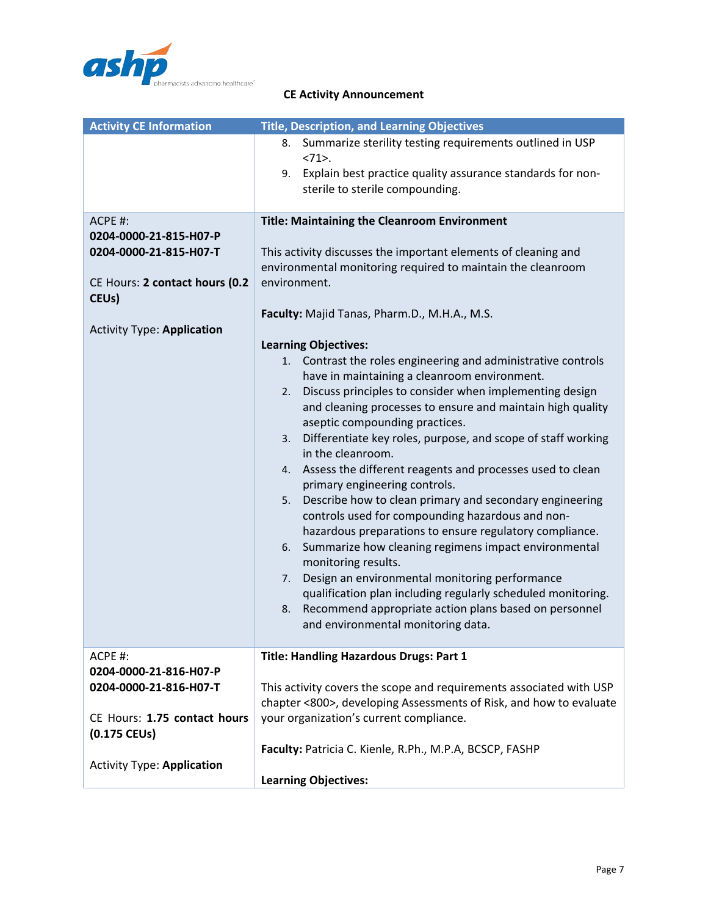

| <b>Activity CE Information</b>                                                                                                                           | <b>Title, Description, and Learning Objectives</b>                                                                                                                                                                                                                                                                                                                                                                                                                                                                                                                                                                                                                                                                                                                                                                                                                                                                                                                                                                                                                                                                                                                                                                                                                        |
|----------------------------------------------------------------------------------------------------------------------------------------------------------|---------------------------------------------------------------------------------------------------------------------------------------------------------------------------------------------------------------------------------------------------------------------------------------------------------------------------------------------------------------------------------------------------------------------------------------------------------------------------------------------------------------------------------------------------------------------------------------------------------------------------------------------------------------------------------------------------------------------------------------------------------------------------------------------------------------------------------------------------------------------------------------------------------------------------------------------------------------------------------------------------------------------------------------------------------------------------------------------------------------------------------------------------------------------------------------------------------------------------------------------------------------------------|
|                                                                                                                                                          | Summarize sterility testing requirements outlined in USP<br>8.<br>$<71$ .<br>Explain best practice quality assurance standards for non-<br>9.<br>sterile to sterile compounding.                                                                                                                                                                                                                                                                                                                                                                                                                                                                                                                                                                                                                                                                                                                                                                                                                                                                                                                                                                                                                                                                                          |
| ACPE #:<br>0204-0000-21-815-H07-P<br>0204-0000-21-815-H07-T<br>CE Hours: 2 contact hours (0.2<br>CEU <sub>s</sub> )<br><b>Activity Type: Application</b> | <b>Title: Maintaining the Cleanroom Environment</b><br>This activity discusses the important elements of cleaning and<br>environmental monitoring required to maintain the cleanroom<br>environment.<br>Faculty: Majid Tanas, Pharm.D., M.H.A., M.S.<br><b>Learning Objectives:</b><br>Contrast the roles engineering and administrative controls<br>1.<br>have in maintaining a cleanroom environment.<br>Discuss principles to consider when implementing design<br>2.<br>and cleaning processes to ensure and maintain high quality<br>aseptic compounding practices.<br>Differentiate key roles, purpose, and scope of staff working<br>3.<br>in the cleanroom.<br>Assess the different reagents and processes used to clean<br>4.<br>primary engineering controls.<br>Describe how to clean primary and secondary engineering<br>5.<br>controls used for compounding hazardous and non-<br>hazardous preparations to ensure regulatory compliance.<br>Summarize how cleaning regimens impact environmental<br>6.<br>monitoring results.<br>Design an environmental monitoring performance<br>7.<br>qualification plan including regularly scheduled monitoring.<br>Recommend appropriate action plans based on personnel<br>8.<br>and environmental monitoring data. |
| ACPE #:<br>0204-0000-21-816-H07-P<br>0204-0000-21-816-H07-T                                                                                              | <b>Title: Handling Hazardous Drugs: Part 1</b><br>This activity covers the scope and requirements associated with USP<br>chapter <800>, developing Assessments of Risk, and how to evaluate                                                                                                                                                                                                                                                                                                                                                                                                                                                                                                                                                                                                                                                                                                                                                                                                                                                                                                                                                                                                                                                                               |
| CE Hours: 1.75 contact hours<br>(0.175 CEUs)<br><b>Activity Type: Application</b>                                                                        | your organization's current compliance.<br>Faculty: Patricia C. Kienle, R.Ph., M.P.A, BCSCP, FASHP<br><b>Learning Objectives:</b>                                                                                                                                                                                                                                                                                                                                                                                                                                                                                                                                                                                                                                                                                                                                                                                                                                                                                                                                                                                                                                                                                                                                         |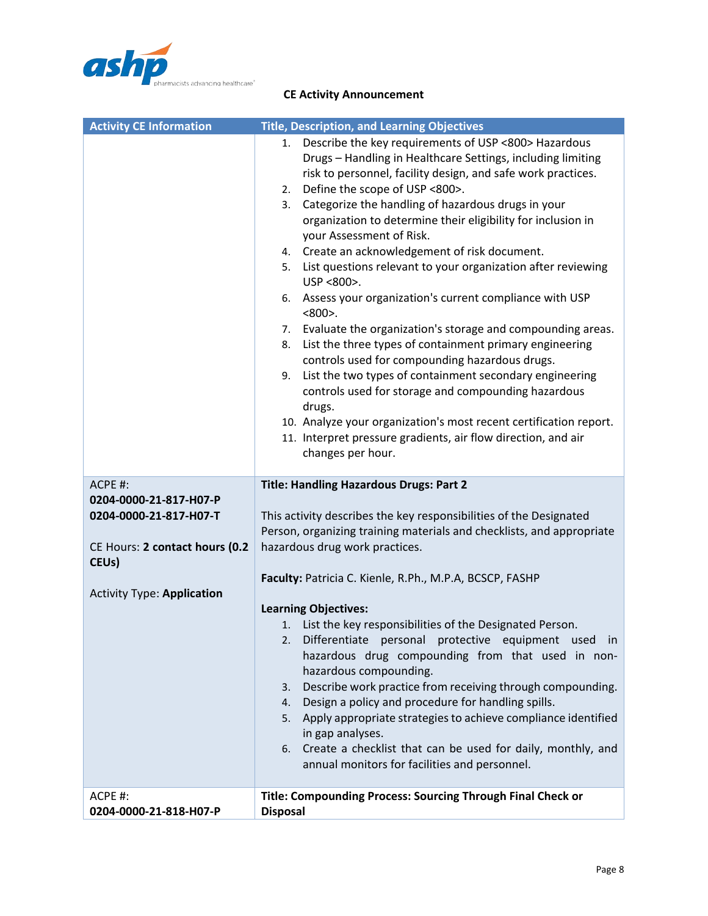

| <b>Activity CE Information</b>                                                     | <b>Title, Description, and Learning Objectives</b>                                                                                                                                                                                                                                                                                                                                                                                                                                                                                                                                                                                                                                                                                                                                                                                                                                                                                                                                                                                                                                                 |
|------------------------------------------------------------------------------------|----------------------------------------------------------------------------------------------------------------------------------------------------------------------------------------------------------------------------------------------------------------------------------------------------------------------------------------------------------------------------------------------------------------------------------------------------------------------------------------------------------------------------------------------------------------------------------------------------------------------------------------------------------------------------------------------------------------------------------------------------------------------------------------------------------------------------------------------------------------------------------------------------------------------------------------------------------------------------------------------------------------------------------------------------------------------------------------------------|
|                                                                                    | Describe the key requirements of USP <800> Hazardous<br>1.<br>Drugs - Handling in Healthcare Settings, including limiting<br>risk to personnel, facility design, and safe work practices.<br>Define the scope of USP <800>.<br>2.<br>Categorize the handling of hazardous drugs in your<br>3.<br>organization to determine their eligibility for inclusion in<br>your Assessment of Risk.<br>Create an acknowledgement of risk document.<br>4.<br>List questions relevant to your organization after reviewing<br>5.<br>USP <800>.<br>Assess your organization's current compliance with USP<br>6.<br>$<800$ .<br>Evaluate the organization's storage and compounding areas.<br>7.<br>List the three types of containment primary engineering<br>8.<br>controls used for compounding hazardous drugs.<br>List the two types of containment secondary engineering<br>9.<br>controls used for storage and compounding hazardous<br>drugs.<br>10. Analyze your organization's most recent certification report.<br>11. Interpret pressure gradients, air flow direction, and air<br>changes per hour. |
| ACPE #:                                                                            | <b>Title: Handling Hazardous Drugs: Part 2</b>                                                                                                                                                                                                                                                                                                                                                                                                                                                                                                                                                                                                                                                                                                                                                                                                                                                                                                                                                                                                                                                     |
| 0204-0000-21-817-H07-P<br>0204-0000-21-817-H07-T<br>CE Hours: 2 contact hours (0.2 | This activity describes the key responsibilities of the Designated<br>Person, organizing training materials and checklists, and appropriate<br>hazardous drug work practices.                                                                                                                                                                                                                                                                                                                                                                                                                                                                                                                                                                                                                                                                                                                                                                                                                                                                                                                      |
| CEU <sub>s</sub> )                                                                 |                                                                                                                                                                                                                                                                                                                                                                                                                                                                                                                                                                                                                                                                                                                                                                                                                                                                                                                                                                                                                                                                                                    |
| <b>Activity Type: Application</b>                                                  | Faculty: Patricia C. Kienle, R.Ph., M.P.A, BCSCP, FASHP                                                                                                                                                                                                                                                                                                                                                                                                                                                                                                                                                                                                                                                                                                                                                                                                                                                                                                                                                                                                                                            |
|                                                                                    | <b>Learning Objectives:</b><br>1. List the key responsibilities of the Designated Person.<br>Differentiate personal protective equipment used in<br>hazardous drug compounding from that used in non-<br>hazardous compounding.<br>Describe work practice from receiving through compounding.<br>3.<br>Design a policy and procedure for handling spills.<br>4.<br>Apply appropriate strategies to achieve compliance identified<br>5.<br>in gap analyses.<br>Create a checklist that can be used for daily, monthly, and<br>6.<br>annual monitors for facilities and personnel.                                                                                                                                                                                                                                                                                                                                                                                                                                                                                                                   |
| ACPE #:<br>0204-0000-21-818-H07-P                                                  | Title: Compounding Process: Sourcing Through Final Check or<br><b>Disposal</b>                                                                                                                                                                                                                                                                                                                                                                                                                                                                                                                                                                                                                                                                                                                                                                                                                                                                                                                                                                                                                     |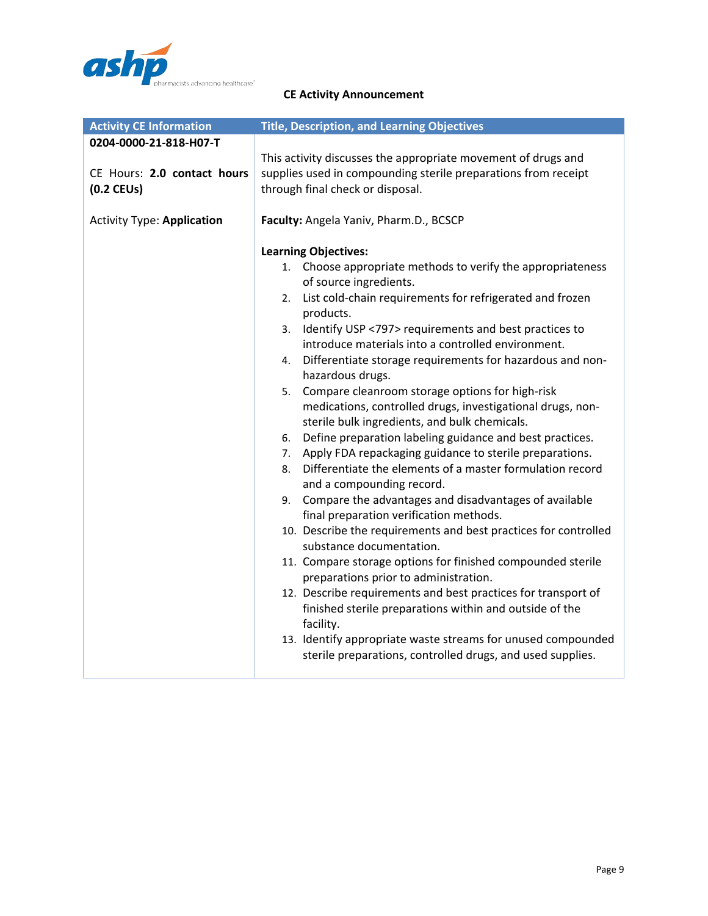

| <b>Activity CE Information</b>                                        | <b>Title, Description, and Learning Objectives</b>                                                                                                                                                                                                                                                                                                                                                                                                                                                                                                                                                                                                                                                                                                                                                                                                                                                                                                                                                                                                                                                                                                                                                                                                                                                                                                                                                                    |
|-----------------------------------------------------------------------|-----------------------------------------------------------------------------------------------------------------------------------------------------------------------------------------------------------------------------------------------------------------------------------------------------------------------------------------------------------------------------------------------------------------------------------------------------------------------------------------------------------------------------------------------------------------------------------------------------------------------------------------------------------------------------------------------------------------------------------------------------------------------------------------------------------------------------------------------------------------------------------------------------------------------------------------------------------------------------------------------------------------------------------------------------------------------------------------------------------------------------------------------------------------------------------------------------------------------------------------------------------------------------------------------------------------------------------------------------------------------------------------------------------------------|
| 0204-0000-21-818-H07-T<br>CE Hours: 2.0 contact hours<br>$(0.2$ CEUs) | This activity discusses the appropriate movement of drugs and<br>supplies used in compounding sterile preparations from receipt<br>through final check or disposal.                                                                                                                                                                                                                                                                                                                                                                                                                                                                                                                                                                                                                                                                                                                                                                                                                                                                                                                                                                                                                                                                                                                                                                                                                                                   |
| <b>Activity Type: Application</b>                                     | Faculty: Angela Yaniv, Pharm.D., BCSCP                                                                                                                                                                                                                                                                                                                                                                                                                                                                                                                                                                                                                                                                                                                                                                                                                                                                                                                                                                                                                                                                                                                                                                                                                                                                                                                                                                                |
|                                                                       | <b>Learning Objectives:</b><br>Choose appropriate methods to verify the appropriateness<br>1.<br>of source ingredients.<br>List cold-chain requirements for refrigerated and frozen<br>2.<br>products.<br>Identify USP <797> requirements and best practices to<br>3.<br>introduce materials into a controlled environment.<br>Differentiate storage requirements for hazardous and non-<br>4.<br>hazardous drugs.<br>Compare cleanroom storage options for high-risk<br>5.<br>medications, controlled drugs, investigational drugs, non-<br>sterile bulk ingredients, and bulk chemicals.<br>Define preparation labeling guidance and best practices.<br>6.<br>Apply FDA repackaging guidance to sterile preparations.<br>7.<br>Differentiate the elements of a master formulation record<br>8.<br>and a compounding record.<br>Compare the advantages and disadvantages of available<br>9.<br>final preparation verification methods.<br>10. Describe the requirements and best practices for controlled<br>substance documentation.<br>11. Compare storage options for finished compounded sterile<br>preparations prior to administration.<br>12. Describe requirements and best practices for transport of<br>finished sterile preparations within and outside of the<br>facility.<br>13. Identify appropriate waste streams for unused compounded<br>sterile preparations, controlled drugs, and used supplies. |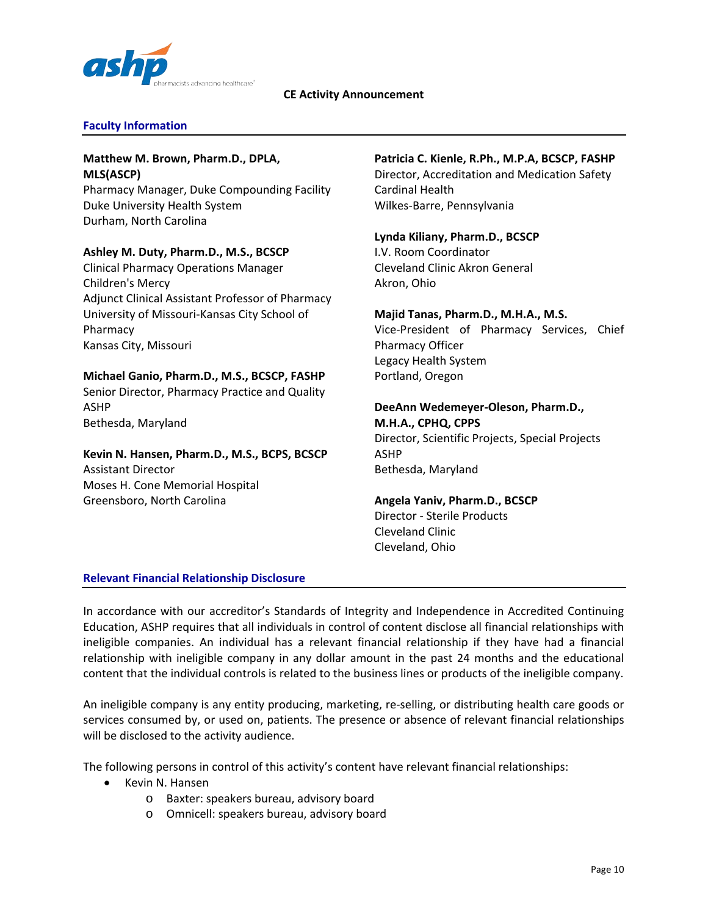

# **Faculty Information**

## **Matthew M. Brown, Pharm.D., DPLA, MLS(ASCP)**

Pharmacy Manager, Duke Compounding Facility Duke University Health System Durham, North Carolina

## **Ashley M. Duty, Pharm.D., M.S., BCSCP**

Clinical Pharmacy Operations Manager Children's Mercy Adjunct Clinical Assistant Professor of Pharmacy University of Missouri-Kansas City School of Pharmacy Kansas City, Missouri

## **Michael Ganio, Pharm.D., M.S., BCSCP, FASHP**

Senior Director, Pharmacy Practice and Quality ASHP Bethesda, Maryland

# **Kevin N. Hansen, Pharm.D., M.S., BCPS, BCSCP** Assistant Director Moses H. Cone Memorial Hospital Greensboro, North Carolina

## **Patricia C. Kienle, R.Ph., M.P.A, BCSCP, FASHP**

Director, Accreditation and Medication Safety Cardinal Health Wilkes-Barre, Pennsylvania

# **Lynda Kiliany, Pharm.D., BCSCP**

I.V. Room Coordinator Cleveland Clinic Akron General Akron, Ohio

## **Majid Tanas, Pharm.D., M.H.A., M.S.**

Vice-President of Pharmacy Services, Chief Pharmacy Officer Legacy Health System Portland, Oregon

## **DeeAnn Wedemeyer-Oleson, Pharm.D., M.H.A., CPHQ, CPPS**

Director, Scientific Projects, Special Projects ASHP Bethesda, Maryland

## **Angela Yaniv, Pharm.D., BCSCP**

Director - Sterile Products Cleveland Clinic Cleveland, Ohio

## **Relevant Financial Relationship Disclosure**

In accordance with our accreditor's Standards of Integrity and Independence in Accredited Continuing Education, ASHP requires that all individuals in control of content disclose all financial relationships with ineligible companies. An individual has a relevant financial relationship if they have had a financial relationship with ineligible company in any dollar amount in the past 24 months and the educational content that the individual controls is related to the business lines or products of the ineligible company.

An ineligible company is any entity producing, marketing, re-selling, or distributing health care goods or services consumed by, or used on, patients. The presence or absence of relevant financial relationships will be disclosed to the activity audience.

The following persons in control of this activity's content have relevant financial relationships:

- Kevin N. Hansen
	- o Baxter: speakers bureau, advisory board
	- o Omnicell: speakers bureau, advisory board